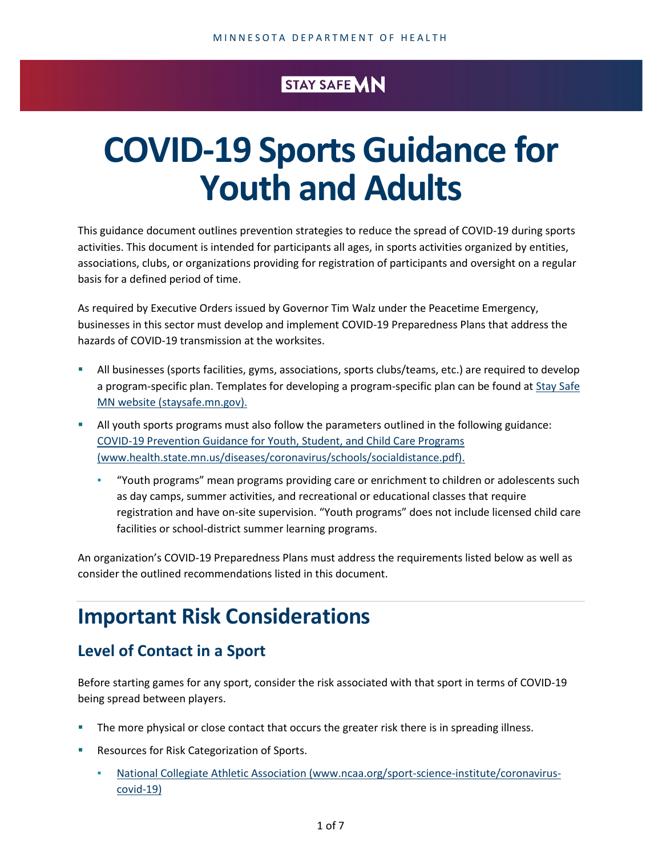#### STAY SAFE VIN

# **COVID-19 Sports Guidance for Youth and Adults**

This guidance document outlines prevention strategies to reduce the spread of COVID-19 during sports activities. This document is intended for participants all ages, in sports activities organized by entities, associations, clubs, or organizations providing for registration of participants and oversight on a regular basis for a defined period of time.

As required by Executive Orders issued by Governor Tim Walz under the Peacetime Emergency, businesses in this sector must develop and implement COVID-19 Preparedness Plans that address the hazards of COVID-19 transmission at the worksites.

- All businesses (sports facilities, gyms, associations, sports clubs/teams, etc.) are required to develop a program-specific plan. Templates for developing a program-specific plan can be found at Stay [Safe](https://staysafe.mn.gov/) [MN website \(staysafe.mn.gov\).](https://staysafe.mn.gov/)
- All youth sports programs must also follow the parameters outlined in the following guidance: [COVID-19 Prevention Guidance for Youth, Student, and Child Care Programs](https://www.health.state.mn.us/diseases/coronavirus/schools/socialdistance.pdf)  [\(www.health.state.mn.us/diseases/coronavirus/schools/socialdistance.pdf\).](https://www.health.state.mn.us/diseases/coronavirus/schools/socialdistance.pdf)
	- "Youth programs" mean programs providing care or enrichment to children or adolescents such as day camps, summer activities, and recreational or educational classes that require registration and have on-site supervision. "Youth programs" does not include licensed child care facilities or school-district summer learning programs.

An organization's COVID-19 Preparedness Plans must address the requirements listed below as well as consider the outlined recommendations listed in this document.

## **Important Risk Considerations**

#### **Level of Contact in a Sport**

Before starting games for any sport, consider the risk associated with that sport in terms of COVID-19 being spread between players.

- The more physical or close contact that occurs the greater risk there is in spreading illness.
- Resources for Risk Categorization of Sports.
	- [National Collegiate Athletic Association \(www.ncaa.org/sport-science-institute/coronavirus](http://www.ncaa.org/sport-science-institute/coronavirus-covid-19)[covid-19\)](http://www.ncaa.org/sport-science-institute/coronavirus-covid-19)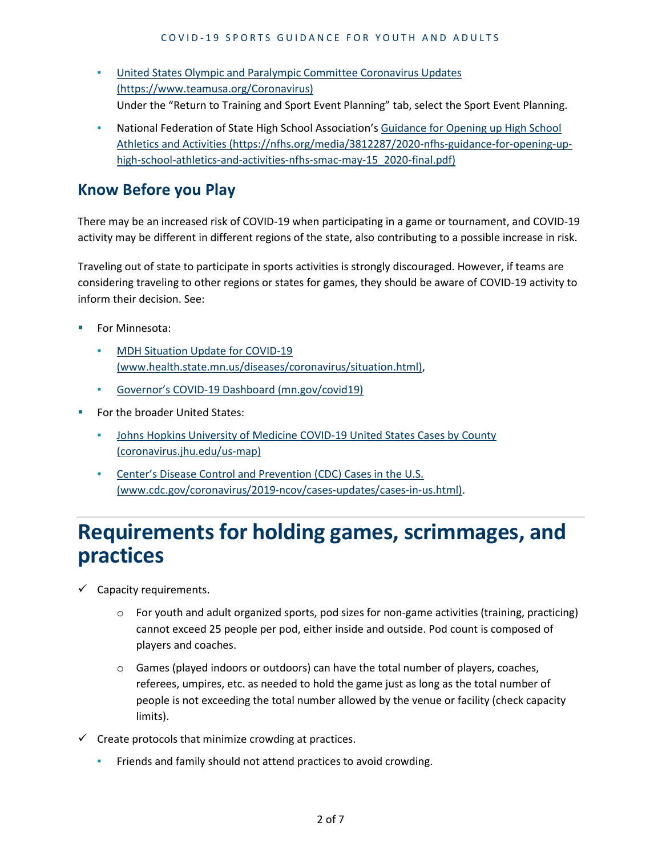- **United States Olympic and Paralympic Committee Coronavirus Updates** [\(https://www.teamusa.org/Coronavirus\)](https://www.teamusa.org/Coronavirus) Under the "Return to Training and Sport Event Planning" tab, select the Sport Event Planning.
- **National Federation of State High School Association's Guidance for Opening up High School** [Athletics and Activities \(https://nfhs.org/media/3812287/2020-nfhs-guidance-for-opening-up](https://nfhs.org/media/3812287/2020-nfhs-guidance-for-opening-up-high-school-athletics-and-activities-nfhs-smac-may-15_2020-final.pdf)[high-school-athletics-and-activities-nfhs-smac-may-15\\_2020-final.pdf\)](https://nfhs.org/media/3812287/2020-nfhs-guidance-for-opening-up-high-school-athletics-and-activities-nfhs-smac-may-15_2020-final.pdf)

#### **Know Before you Play**

There may be an increased risk of COVID-19 when participating in a game or tournament, and COVID-19 activity may be different in different regions of the state, also contributing to a possible increase in risk.

Traveling out of state to participate in sports activities is strongly discouraged. However, if teams are considering traveling to other regions or states for games, they should be aware of COVID-19 activity to inform their decision. See:

- For Minnesota:
	- **MDH Situation Update for COVID-19** [\(www.health.state.mn.us/diseases/coronavirus/situation.html\),](http://www.health.state.mn.us/diseases/coronavirus/situation.html)
	- [Governor's COVID-19 Dashboard \(mn.gov/covid19\)](https://mn.gov/covid19/)
- For the broader United States:
	- Johns Hopkins University of Medicine COVID-19 United States Cases by County [\(coronavirus.jhu.edu/us-map\)](https://coronavirus.jhu.edu/us-map)
	- **EXECT:** Center's Disease Control and Prevention (CDC) Cases in the U.S. [\(www.cdc.gov/coronavirus/2019-ncov/cases-updates/cases-in-us.html\).](https://www.cdc.gov/coronavirus/2019-ncov/cases-updates/cases-in-us.html)

#### **Requirements for holding games, scrimmages, and practices**

- $\checkmark$  Capacity requirements.
	- $\circ$  For youth and adult organized sports, pod sizes for non-game activities (training, practicing) cannot exceed 25 people per pod, either inside and outside. Pod count is composed of players and coaches.
	- $\circ$  Games (played indoors or outdoors) can have the total number of players, coaches, referees, umpires, etc. as needed to hold the game just as long as the total number of people is not exceeding the total number allowed by the venue or facility (check capacity limits).
- $\checkmark$  Create protocols that minimize crowding at practices.
	- Friends and family should not attend practices to avoid crowding.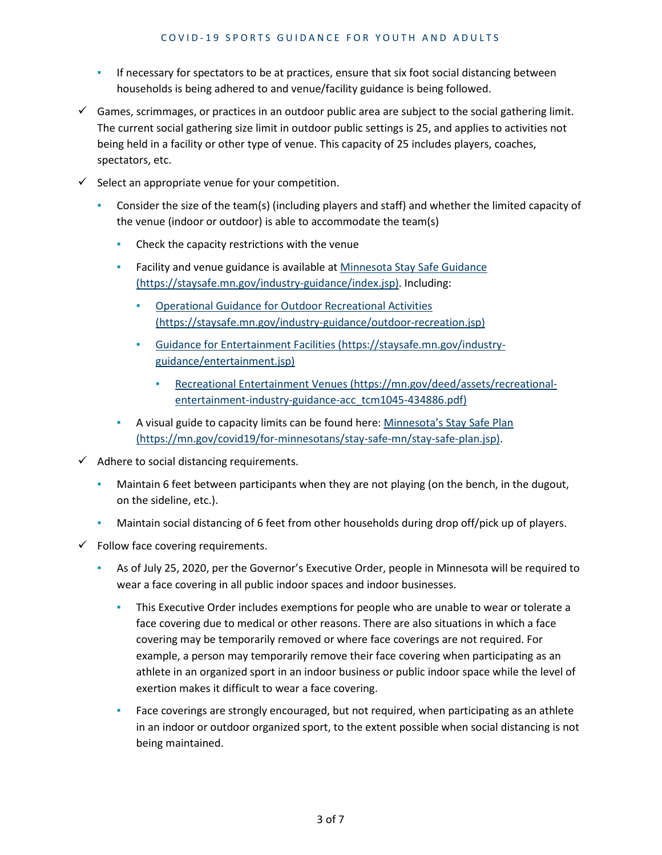- **.** If necessary for spectators to be at practices, ensure that six foot social distancing between households is being adhered to and venue/facility guidance is being followed.
- $\checkmark$  Games, scrimmages, or practices in an outdoor public area are subject to the social gathering limit. The current social gathering size limit in outdoor public settings is 25, and applies to activities not being held in a facility or other type of venue. This capacity of 25 includes players, coaches, spectators, etc.
- $\checkmark$  Select an appropriate venue for your competition.
	- Consider the size of the team(s) (including players and staff) and whether the limited capacity of the venue (indoor or outdoor) is able to accommodate the team(s)
		- **Check the capacity restrictions with the venue**
		- **EXECTE:** Facility and venue guidance is available at Minnesota Stay Safe Guidance [\(https://staysafe.mn.gov/industry-guidance/index.jsp\).](https://staysafe.mn.gov/industry-guidance/index.jsp) Including:
			- [Operational Guidance for Outdoor Recreational Activities](https://staysafe.mn.gov/industry-guidance/outdoor-recreation.jsp) [\(https://staysafe.mn.gov/industry-guidance/outdoor-recreation.jsp\)](https://staysafe.mn.gov/industry-guidance/outdoor-recreation.jsp)
			- [Guidance for Entertainment Facilities \(https://staysafe.mn.gov/industry](https://staysafe.mn.gov/industry-guidance/entertainment.jsp)[guidance/entertainment.jsp\)](https://staysafe.mn.gov/industry-guidance/entertainment.jsp)
				- Recreational Entertainment Venues [\(https://mn.gov/deed/assets/recreational](https://mn.gov/deed/assets/recreational-entertainment-industry-guidance-acc_tcm1045-434886.pdf)[entertainment-industry-guidance-acc\\_tcm1045-434886.pdf\)](https://mn.gov/deed/assets/recreational-entertainment-industry-guidance-acc_tcm1045-434886.pdf)
		- **EXED A visual guide to capacity limits can be found here:** Minnesota's Stay Safe Plan [\(https://mn.gov/covid19/for-minnesotans/stay-safe-mn/stay-safe-plan.jsp\).](https://mn.gov/covid19/for-minnesotans/stay-safe-mn/stay-safe-plan.jsp)
- $\checkmark$  Adhere to social distancing requirements.
	- Maintain 6 feet between participants when they are not playing (on the bench, in the dugout, on the sideline, etc.).
	- **•** Maintain social distancing of 6 feet from other households during drop off/pick up of players.
- $\checkmark$  Follow face covering requirements.
	- As of July 25, 2020, per the Governor's Executive Order, people in Minnesota will be required to wear a face covering in all public indoor spaces and indoor businesses.
		- **This Executive Order includes exemptions for people who are unable to wear or tolerate a** face covering due to medical or other reasons. There are also situations in which a face covering may be temporarily removed or where face coverings are not required. For example, a person may temporarily remove their face covering when participating as an athlete in an organized sport in an indoor business or public indoor space while the level of exertion makes it difficult to wear a face covering.
		- **EXECO** Face coverings are strongly encouraged, but not required, when participating as an athlete in an indoor or outdoor organized sport, to the extent possible when social distancing is not being maintained.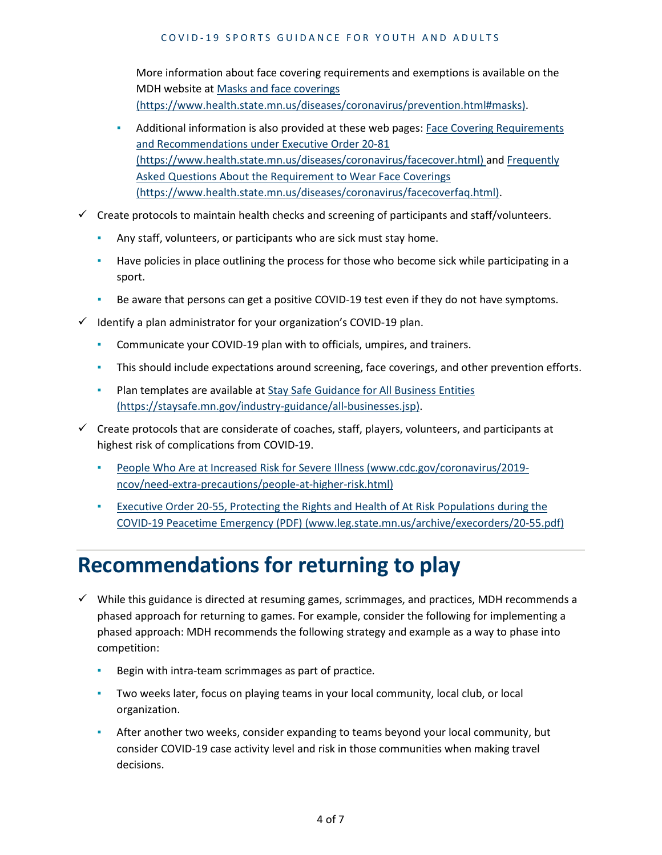#### COVID - 19 SPORTS GUID ANCE FOR YOUTH AND A DULTS

More information about face covering requirements and exemptions is available on the MDH website a[t Masks and face coverings](https://www.health.state.mn.us/diseases/coronavirus/prevention.html#masks)  [\(https://www.health.state.mn.us/diseases/coronavirus/prevention.html#masks\).](https://www.health.state.mn.us/diseases/coronavirus/prevention.html#masks)

- **•** Additional information is also provided at these web pages: Face Covering Requirements [and Recommendations under Executive Order 20-81](https://www.health.state.mn.us/diseases/coronavirus/facecover.html)  [\(https://www.health.state.mn.us/diseases/coronavirus/facecover.html\)](https://www.health.state.mn.us/diseases/coronavirus/facecover.html) and [Frequently](https://www.health.state.mn.us/diseases/coronavirus/facecoverfaq.html)  [Asked Questions About the Requirement to Wear Face Coverings](https://www.health.state.mn.us/diseases/coronavirus/facecoverfaq.html)  [\(https://www.health.state.mn.us/diseases/coronavirus/facecoverfaq.html\).](https://www.health.state.mn.us/diseases/coronavirus/facecoverfaq.html)
- $\checkmark$  Create protocols to maintain health checks and screening of participants and staff/volunteers.
	- Any staff, volunteers, or participants who are sick must stay home.
	- **EXECT Have policies in place outlining the process for those who become sick while participating in a** sport.
	- **EXE** Be aware that persons can get a positive COVID-19 test even if they do not have symptoms.
- $\checkmark$  Identify a plan administrator for your organization's COVID-19 plan.
	- Communicate your COVID-19 plan with to officials, umpires, and trainers.
	- **·** This should include expectations around screening, face coverings, and other prevention efforts.
	- **Plan templates are available at Stay Safe Guidance for All Business Entities** [\(https://staysafe.mn.gov/industry-guidance/all-businesses.jsp\).](https://staysafe.mn.gov/industry-guidance/all-businesses.jsp)
- $\checkmark$  Create protocols that are considerate of coaches, staff, players, volunteers, and participants at highest risk of complications from COVID-19.
	- People Who Are at Increased Risk for Severe Illness [\(www.cdc.gov/coronavirus/2019](https://www.cdc.gov/coronavirus/2019-ncov/need-extra-precautions/people-at-increased-risk.html) [ncov/need-extra-precautions/people-at-higher-risk.html\)](https://www.cdc.gov/coronavirus/2019-ncov/need-extra-precautions/people-at-increased-risk.html)
	- **EXECUTE:** Executive Order 20-55, Protecting the Rights and Health of At Risk Populations during the [COVID-19 Peacetime Emergency \(PDF\) \(www.leg.state.mn.us/archive/execorders/20-55.pdf\)](http://www.leg.state.mn.us/archive/execorders/20-55.pdf)

## **Recommendations for returning to play**

- $\checkmark$  While this guidance is directed at resuming games, scrimmages, and practices, MDH recommends a phased approach for returning to games. For example, consider the following for implementing a phased approach: MDH recommends the following strategy and example as a way to phase into competition:
	- Begin with intra-team scrimmages as part of practice.
	- Two weeks later, focus on playing teams in your local community, local club, or local organization.
	- **EXECT** After another two weeks, consider expanding to teams beyond your local community, but consider COVID-19 case activity level and risk in those communities when making travel decisions.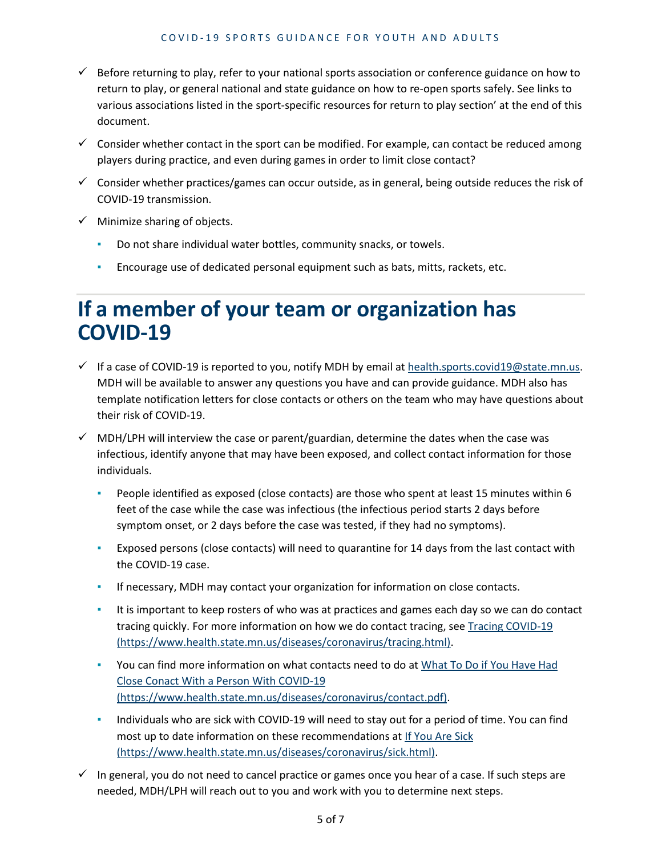- $\checkmark$  Before returning to play, refer to your national sports association or conference guidance on how to return to play, or general national and state guidance on how to re-open sports safely. See links to various associations listed in the sport-specific resources for return to play section' at the end of this document.
- $\checkmark$  Consider whether contact in the sport can be modified. For example, can contact be reduced among players during practice, and even during games in order to limit close contact?
- $\checkmark$  Consider whether practices/games can occur outside, as in general, being outside reduces the risk of COVID-19 transmission.
- $\checkmark$  Minimize sharing of objects.
	- Do not share individual water bottles, community snacks, or towels.
	- Encourage use of dedicated personal equipment such as bats, mitts, rackets, etc.

#### **If a member of your team or organization has COVID-19**

- If a case of COVID-19 is reported to you, notify MDH by email at [health.sports.covid19@state.mn.us.](mailto:health.sports.covid19@state.mn.us) MDH will be available to answer any questions you have and can provide guidance. MDH also has template notification letters for close contacts or others on the team who may have questions about their risk of COVID-19.
- $\checkmark$  MDH/LPH will interview the case or parent/guardian, determine the dates when the case was infectious, identify anyone that may have been exposed, and collect contact information for those individuals.
	- People identified as exposed (close contacts) are those who spent at least 15 minutes within 6 feet of the case while the case was infectious (the infectious period starts 2 days before symptom onset, or 2 days before the case was tested, if they had no symptoms).
	- Exposed persons (close contacts) will need to quarantine for 14 days from the last contact with the COVID-19 case.
	- **·** If necessary, MDH may contact your organization for information on close contacts.
	- **EXECT** It is important to keep rosters of who was at practices and games each day so we can do contact tracing quickly. For more information on how we do contact tracing, see [Tracing COVID-19](https://www.health.state.mn.us/diseases/coronavirus/tracing.html) [\(https://www.health.state.mn.us/diseases/coronavirus/tracing.html\).](https://www.health.state.mn.us/diseases/coronavirus/tracing.html)
	- **You can find more information on what contacts need to do at What To Do if You Have Had** [Close Conact With a Person With COVID-19](https://www.health.state.mn.us/diseases/coronavirus/contact.pdf) [\(https://www.health.state.mn.us/diseases/coronavirus/contact.pdf\).](https://www.health.state.mn.us/diseases/coronavirus/contact.pdf)
	- Individuals who are sick with COVID-19 will need to stay out for a period of time. You can find most up to date information on these recommendations at If You Are Sick [\(https://www.health.state.mn.us/diseases/coronavirus/sick.html\).](https://www.health.state.mn.us/diseases/coronavirus/sick.html)
- $\checkmark$  In general, you do not need to cancel practice or games once you hear of a case. If such steps are needed, MDH/LPH will reach out to you and work with you to determine next steps.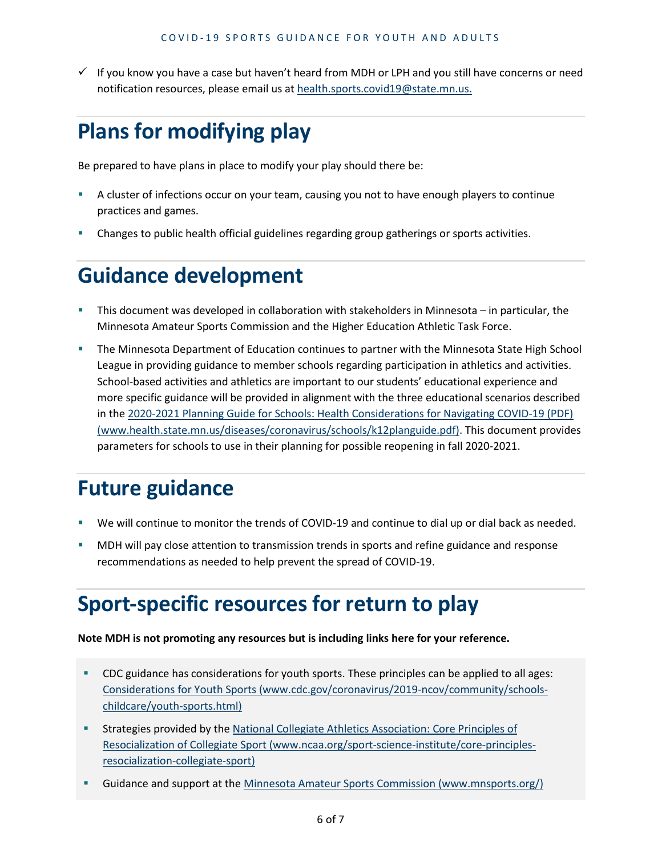$\checkmark$  If you know you have a case but haven't heard from MDH or LPH and you still have concerns or need notification resources, please email us at [health.sports.covid19@state.mn.us.](mailto:health.sports.covid19@state.mn.us)

# **Plans for modifying play**

Be prepared to have plans in place to modify your play should there be:

- A cluster of infections occur on your team, causing you not to have enough players to continue practices and games.
- Changes to public health official guidelines regarding group gatherings or sports activities.

# **Guidance development**

- This document was developed in collaboration with stakeholders in Minnesota in particular, the Minnesota Amateur Sports Commission and the Higher Education Athletic Task Force.
- **The Minnesota Department of Education continues to partner with the Minnesota State High School** League in providing guidance to member schools regarding participation in athletics and activities. School-based activities and athletics are important to our students' educational experience and more specific guidance will be provided in alignment with the three educational scenarios described in the [2020-2021 Planning Guide for Schools: Health Considerations for Navigating COVID-19 \(PDF\)](https://www.health.state.mn.us/diseases/coronavirus/schools/k12planguide.pdf)  [\(www.health.state.mn.us/diseases/coronavirus/schools/k12planguide.pdf\).](https://www.health.state.mn.us/diseases/coronavirus/schools/k12planguide.pdf) This document provides parameters for schools to use in their planning for possible reopening in fall 2020-2021.

## **Future guidance**

- We will continue to monitor the trends of COVID-19 and continue to dial up or dial back as needed.
- MDH will pay close attention to transmission trends in sports and refine guidance and response recommendations as needed to help prevent the spread of COVID-19.

#### **Sport-specific resources for return to play**

#### **Note MDH is not promoting any resources but is including links here for your reference.**

- **CDC** guidance has considerations for youth sports. These principles can be applied to all ages: [Considerations for Youth Sports \(www.cdc.gov/coronavirus/2019-ncov/community/schools](https://www.cdc.gov/coronavirus/2019-ncov/community/schools-childcare/youth-sports.html)[childcare/youth-sports.html\)](https://www.cdc.gov/coronavirus/2019-ncov/community/schools-childcare/youth-sports.html)
- **Strategies provided by the National Collegiate Athletics Association: Core Principles of** [Resocialization of Collegiate Sport \(www.ncaa.org/sport-science-institute/core-principles](http://www.ncaa.org/sport-science-institute/core-principles-resocialization-collegiate-sport)[resocialization-collegiate-sport\)](http://www.ncaa.org/sport-science-institute/core-principles-resocialization-collegiate-sport)
- Guidance and support at the [Minnesota Amateur Sports Commission \(www.mnsports.org/\)](https://www.mnsports.org/)